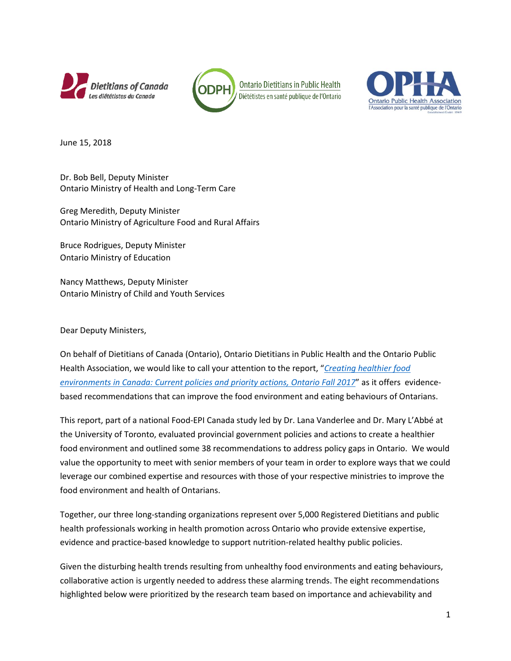





June 15, 2018

Dr. Bob Bell, Deputy Minister Ontario Ministry of Health and Long-Term Care

Greg Meredith, Deputy Minister Ontario Ministry of Agriculture Food and Rural Affairs

Bruce Rodrigues, Deputy Minister Ontario Ministry of Education

Nancy Matthews, Deputy Minister Ontario Ministry of Child and Youth Services

Dear Deputy Ministers,

On behalf of Dietitians of Canada (Ontario), Ontario Dietitians in Public Health and the Ontario Public Health Association, we would like to call your attention to the report, "*[Creating healthier food](http://labbelab.utoronto.ca/wp-content/uploads/2017/12/FoodEPI_ON_Report_WEB-FINAL.pdf)  [environments in Canada: Current policies and priority actions, Ontario Fall 2017](http://labbelab.utoronto.ca/wp-content/uploads/2017/12/FoodEPI_ON_Report_WEB-FINAL.pdf)*" as it offers evidencebased recommendations that can improve the food environment and eating behaviours of Ontarians.

This report, part of a national Food-EPI Canada study led by Dr. Lana Vanderlee and Dr. Mary L'Abbé at the University of Toronto, evaluated provincial government policies and actions to create a healthier food environment and outlined some 38 recommendations to address policy gaps in Ontario. We would value the opportunity to meet with senior members of your team in order to explore ways that we could leverage our combined expertise and resources with those of your respective ministries to improve the food environment and health of Ontarians.

Together, our three long-standing organizations represent over 5,000 Registered Dietitians and public health professionals working in health promotion across Ontario who provide extensive expertise, evidence and practice-based knowledge to support nutrition-related healthy public policies.

Given the disturbing health trends resulting from unhealthy food environments and eating behaviours, collaborative action is urgently needed to address these alarming trends. The eight recommendations highlighted below were prioritized by the research team based on importance and achievability and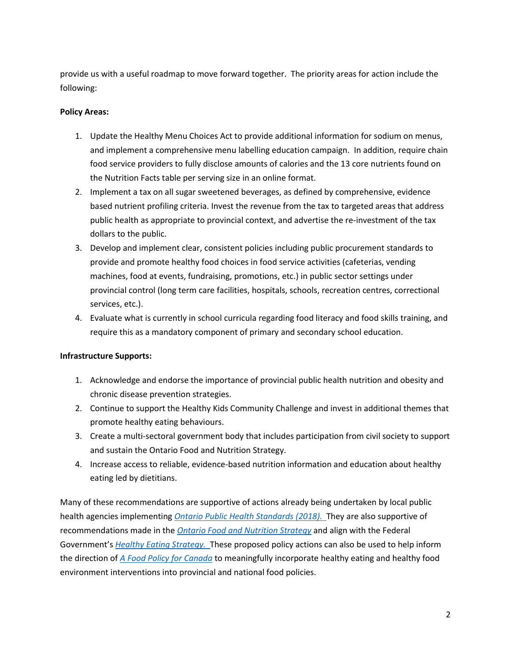provide us with a useful roadmap to move forward together. The priority areas for action include the following:

## **Policy Areas:**

- 1. Update the Healthy Menu Choices Act to provide additional information for sodium on menus, and implement a comprehensive menu labelling education campaign. In addition, require chain food service providers to fully disclose amounts of calories and the 13 core nutrients found on the Nutrition Facts table per serving size in an online format.
- 2. Implement a tax on all sugar sweetened beverages, as defined by comprehensive, evidence based nutrient profiling criteria. Invest the revenue from the tax to targeted areas that address public health as appropriate to provincial context, and advertise the re-investment of the tax dollars to the public.
- 3. Develop and implement clear, consistent policies including public procurement standards to provide and promote healthy food choices in food service activities (cafeterias, vending machines, food at events, fundraising, promotions, etc.) in public sector settings under provincial control (long term care facilities, hospitals, schools, recreation centres, correctional services, etc.).
- 4. Evaluate what is currently in school curricula regarding food literacy and food skills training, and require this as a mandatory component of primary and secondary school education.

## **Infrastructure Supports:**

- 1. Acknowledge and endorse the importance of provincial public health nutrition and obesity and chronic disease prevention strategies.
- 2. Continue to support the Healthy Kids Community Challenge and invest in additional themes that promote healthy eating behaviours.
- 3. Create a multi-sectoral government body that includes participation from civil society to support and sustain the Ontario Food and Nutrition Strategy.
- 4. Increase access to reliable, evidence-based nutrition information and education about healthy eating led by dietitians.

Many of these recommendations are supportive of actions already being undertaken by local public health agencies implementing *[Ontario Public Health Standards \(2018\).](http://www.health.gov.on.ca/en/pro/programs/publichealth/oph_standards/)* They are also supportive of recommendations made in the *[Ontario Food and Nutrition Strategy](http://sustainontario.com/work/ofns/wp-content/uploads/sites/6/2017/07/Ontario_Food_and_Nutrition_Strategy_Report.pdf)* and align with the Federal Government's *[Healthy Eating Strategy.](https://www.canada.ca/en/services/health/campaigns/vision-healthy-canada/healthy-eating.html)* These proposed policy actions can also be used to help inform the direction of *[A Food Policy for Canada](https://www.canada.ca/en/campaign/food-policy.html)* to meaningfully incorporate healthy eating and healthy food environment interventions into provincial and national food policies.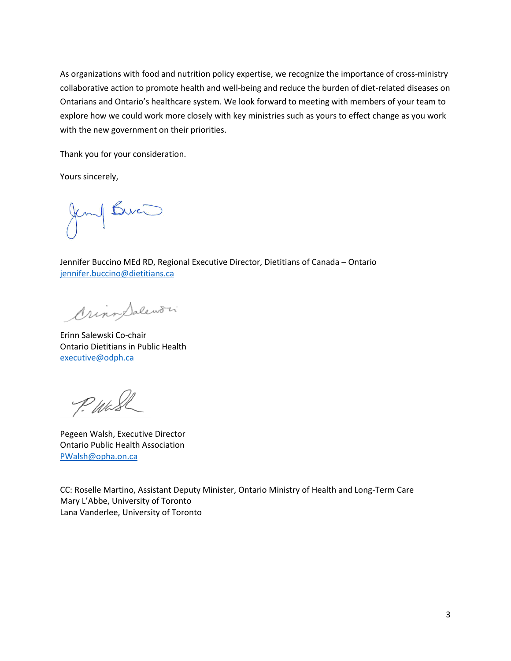As organizations with food and nutrition policy expertise, we recognize the importance of cross-ministry collaborative action to promote health and well-being and reduce the burden of diet-related diseases on Ontarians and Ontario's healthcare system. We look forward to meeting with members of your team to explore how we could work more closely with key ministries such as yours to effect change as you work with the new government on their priorities.

Thank you for your consideration.

Yours sincerely,

Jemy Burn

Jennifer Buccino MEd RD, Regional Executive Director, Dietitians of Canada – Ontario [jennifer.buccino@dietitians.ca](mailto:jennifer.buccino@dietitians.ca)

OrinoSalewori

Erinn Salewski Co-chair Ontario Dietitians in Public Health [executive@odph.ca](mailto:executive@odph.ca)

P. Wash

Pegeen Walsh, Executive Director Ontario Public Health Association [PWalsh@opha.on.ca](mailto:PWalsh@opha.on.ca)

CC: Roselle Martino, Assistant Deputy Minister, Ontario Ministry of Health and Long-Term Care Mary L'Abbe, University of Toronto Lana Vanderlee, University of Toronto